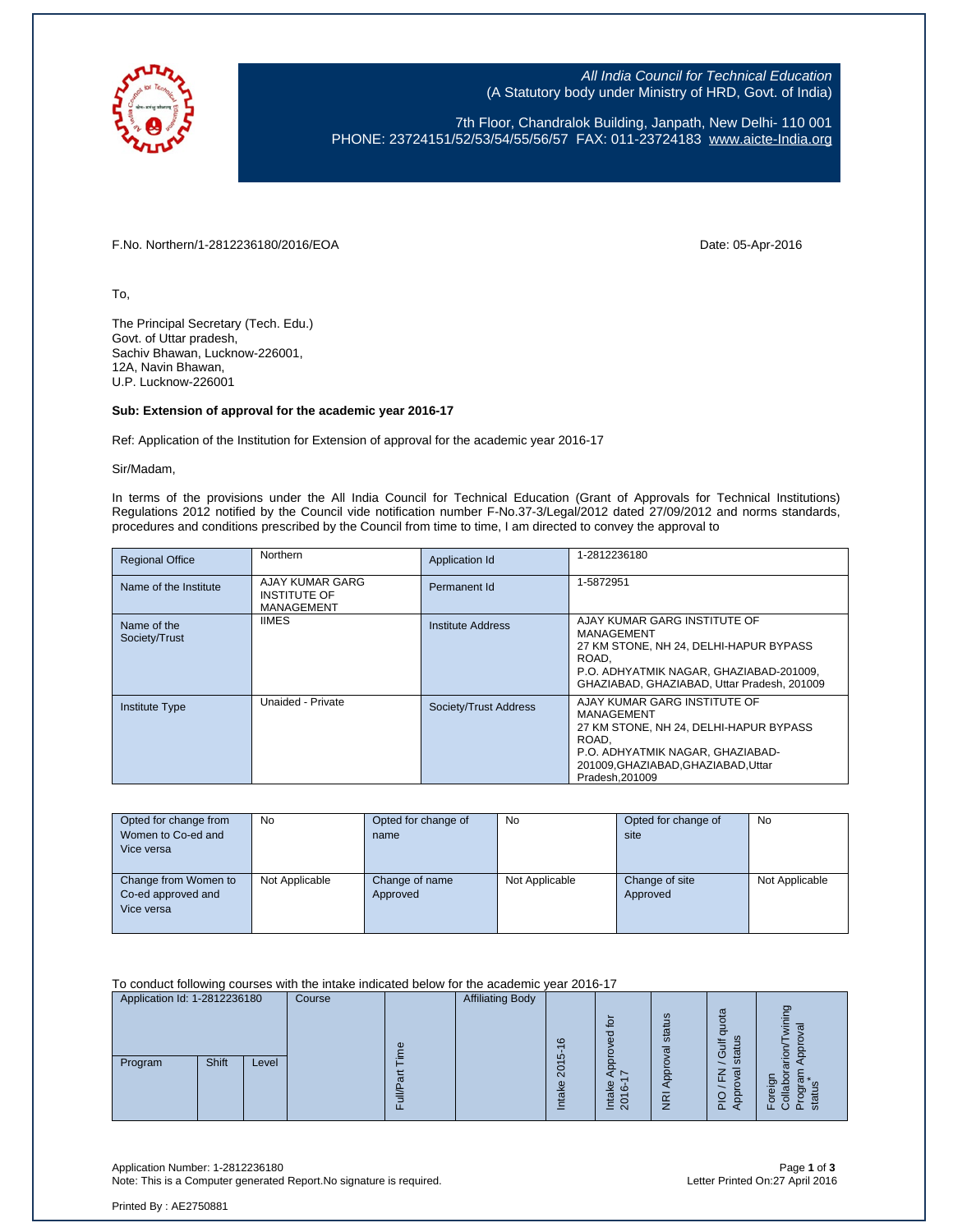

All India Council for Technical Education (A Statutory body under Ministry of HRD, Govt. of India)

7th Floor, Chandralok Building, Janpath, New Delhi- 110 001 PHONE: 23724151/52/53/54/55/56/57 FAX: 011-23724183 [www.aicte-India.org](http://www.aicte-india.org/)

F.No. Northern/1-2812236180/2016/EOA Date: 05-Apr-2016

To,

The Principal Secretary (Tech. Edu.) Govt. of Uttar pradesh, Sachiv Bhawan, Lucknow-226001, 12A, Navin Bhawan, U.P. Lucknow-226001

# **Sub: Extension of approval for the academic year 2016-17**

Ref: Application of the Institution for Extension of approval for the academic year 2016-17

Sir/Madam,

In terms of the provisions under the All India Council for Technical Education (Grant of Approvals for Technical Institutions) Regulations 2012 notified by the Council vide notification number F-No.37-3/Legal/2012 dated 27/09/2012 and norms standards, procedures and conditions prescribed by the Council from time to time, I am directed to convey the approval to

| <b>Regional Office</b>       | <b>Northern</b>                                             | Application Id        | 1-2812236180                                                                                                                                                                               |
|------------------------------|-------------------------------------------------------------|-----------------------|--------------------------------------------------------------------------------------------------------------------------------------------------------------------------------------------|
| Name of the Institute        | AJAY KUMAR GARG<br><b>INSTITUTE OF</b><br><b>MANAGEMENT</b> | Permanent Id          | 1-5872951                                                                                                                                                                                  |
| Name of the<br>Society/Trust | <b>IIMES</b>                                                | Institute Address     | AJAY KUMAR GARG INSTITUTE OF<br>MANAGEMENT<br>27 KM STONE, NH 24, DELHI-HAPUR BYPASS<br>ROAD.<br>P.O. ADHYATMIK NAGAR, GHAZIABAD-201009,<br>GHAZIABAD, GHAZIABAD, Uttar Pradesh, 201009    |
| <b>Institute Type</b>        | Unaided - Private                                           | Society/Trust Address | AJAY KUMAR GARG INSTITUTE OF<br>MANAGEMENT<br>27 KM STONE, NH 24, DELHI-HAPUR BYPASS<br>ROAD.<br>P.O. ADHYATMIK NAGAR, GHAZIABAD-<br>201009, GHAZIABAD, GHAZIABAD, Uttar<br>Pradesh.201009 |

| Opted for change from<br>Women to Co-ed and<br>Vice versa | No             | Opted for change of<br>name | No             | Opted for change of<br>site | No             |
|-----------------------------------------------------------|----------------|-----------------------------|----------------|-----------------------------|----------------|
| Change from Women to<br>Co-ed approved and<br>Vice versa  | Not Applicable | Change of name<br>Approved  | Not Applicable | Change of site<br>Approved  | Not Applicable |

### To conduct following courses with the intake indicated below for the academic year 2016-17

| Application Id: 1-2812236180 |       | Course |  | <b>Affiliating Body</b> |  |                                              |                                                                      |                                                    |                                         |                         |
|------------------------------|-------|--------|--|-------------------------|--|----------------------------------------------|----------------------------------------------------------------------|----------------------------------------------------|-----------------------------------------|-------------------------|
| Program                      | Shift | Level  |  | Φ                       |  | $\circ$<br>မာ<br>O<br>$\mathbf{\Omega}$<br>ω | $\circ$<br>o<br>മ<br>$\circ$<br>$\sigma$<br>5<br>$\overline{N}$<br>∸ | ςĩ<br>stat<br>ত্ত<br>윤<br>$\frac{\overline{R}}{R}$ | ota<br><b>SC</b><br>=<br>ני)<br>ັທ<br>௳ | ರಾ<br>ë<br>c<br>ш.<br>௳ |

Application Number: 1-2812236180 Page **1** of **3** Note: This is a Computer generated Report. No signature is required.

Printed By : AE2750881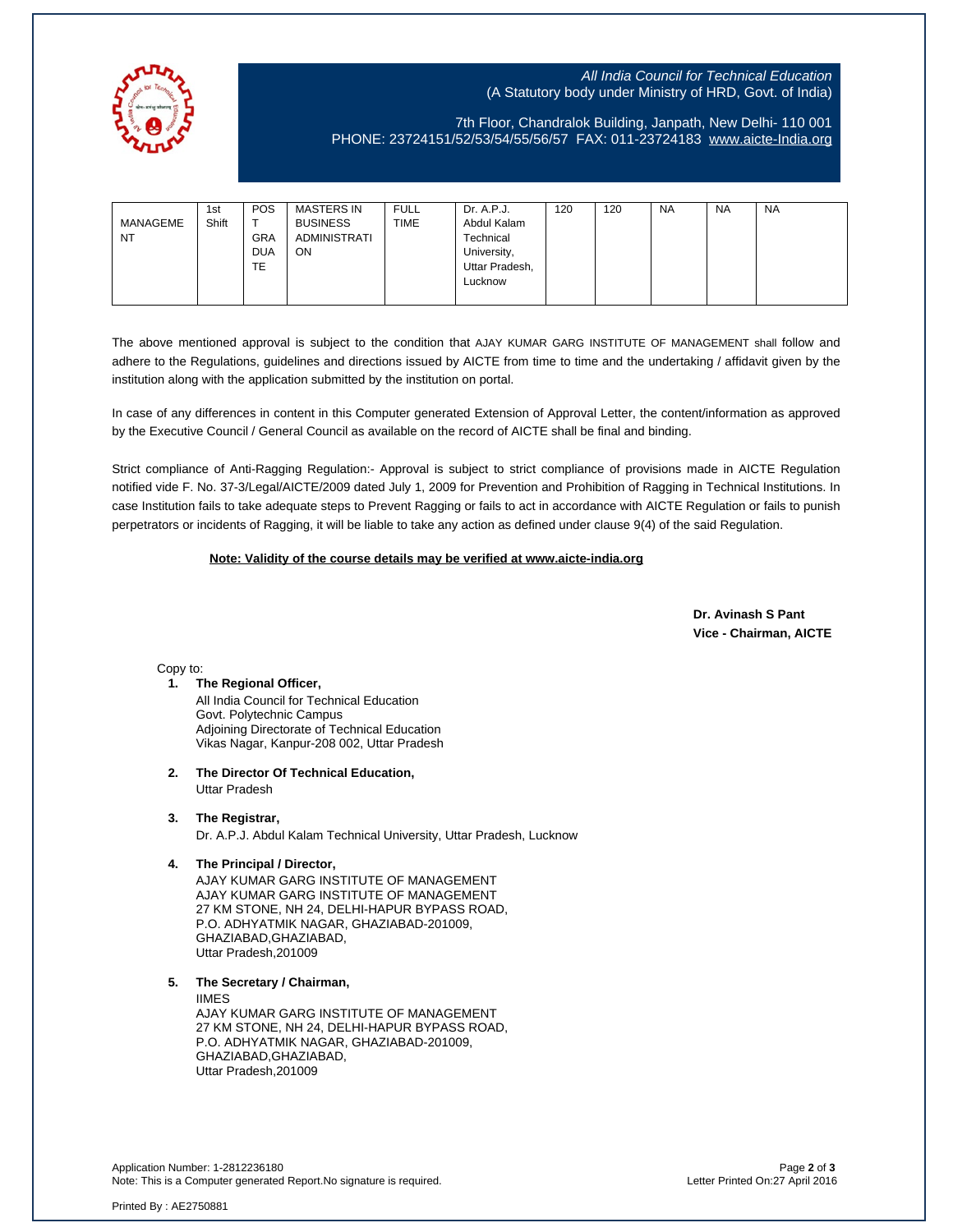

# All India Council for Technical Education (A Statutory body under Ministry of HRD, Govt. of India)

7th Floor, Chandralok Building, Janpath, New Delhi- 110 001 PHONE: 23724151/52/53/54/55/56/57 FAX: 011-23724183 [www.aicte-India.org](http://www.aicte-india.org/)

| MANAGEME<br><b>NT</b> | 1st<br>Shift | POS<br><b>GRA</b><br><b>DUA</b><br><b>TE</b> | <b>MASTERS IN</b><br><b>BUSINESS</b><br>ADMINISTRATI<br>ON. | <b>FULL</b><br><b>TIME</b> | Dr. A.P.J.<br>Abdul Kalam<br>Technical<br>University,<br>Uttar Pradesh,<br>Lucknow | 120 | 120 | <b>NA</b> | <b>NA</b> | <b>NA</b> |
|-----------------------|--------------|----------------------------------------------|-------------------------------------------------------------|----------------------------|------------------------------------------------------------------------------------|-----|-----|-----------|-----------|-----------|
|                       |              |                                              |                                                             |                            |                                                                                    |     |     |           |           |           |

The above mentioned approval is subject to the condition that AJAY KUMAR GARG INSTITUTE OF MANAGEMENT shall follow and adhere to the Regulations, guidelines and directions issued by AICTE from time to time and the undertaking / affidavit given by the institution along with the application submitted by the institution on portal.

In case of any differences in content in this Computer generated Extension of Approval Letter, the content/information as approved by the Executive Council / General Council as available on the record of AICTE shall be final and binding.

Strict compliance of Anti-Ragging Regulation:- Approval is subject to strict compliance of provisions made in AICTE Regulation notified vide F. No. 37-3/Legal/AICTE/2009 dated July 1, 2009 for Prevention and Prohibition of Ragging in Technical Institutions. In case Institution fails to take adequate steps to Prevent Ragging or fails to act in accordance with AICTE Regulation or fails to punish perpetrators or incidents of Ragging, it will be liable to take any action as defined under clause 9(4) of the said Regulation.

### **Note: Validity of the course details may be verified at www.aicte-india.org**

 **Dr. Avinash S Pant Vice - Chairman, AICTE**

Copy to:

- **1. The Regional Officer,** All India Council for Technical Education Govt. Polytechnic Campus Adjoining Directorate of Technical Education Vikas Nagar, Kanpur-208 002, Uttar Pradesh
- **2. The Director Of Technical Education,** Uttar Pradesh

### **3. The Registrar,**

Dr. A.P.J. Abdul Kalam Technical University, Uttar Pradesh, Lucknow

### **4. The Principal / Director,**

AJAY KUMAR GARG INSTITUTE OF MANAGEMENT AJAY KUMAR GARG INSTITUTE OF MANAGEMENT 27 KM STONE, NH 24, DELHI-HAPUR BYPASS ROAD, P.O. ADHYATMIK NAGAR, GHAZIABAD-201009, GHAZIABAD,GHAZIABAD, Uttar Pradesh,201009

# **5. The Secretary / Chairman,**

IIMES AJAY KUMAR GARG INSTITUTE OF MANAGEMENT 27 KM STONE, NH 24, DELHI-HAPUR BYPASS ROAD, P.O. ADHYATMIK NAGAR, GHAZIABAD-201009, GHAZIABAD,GHAZIABAD, Uttar Pradesh,201009